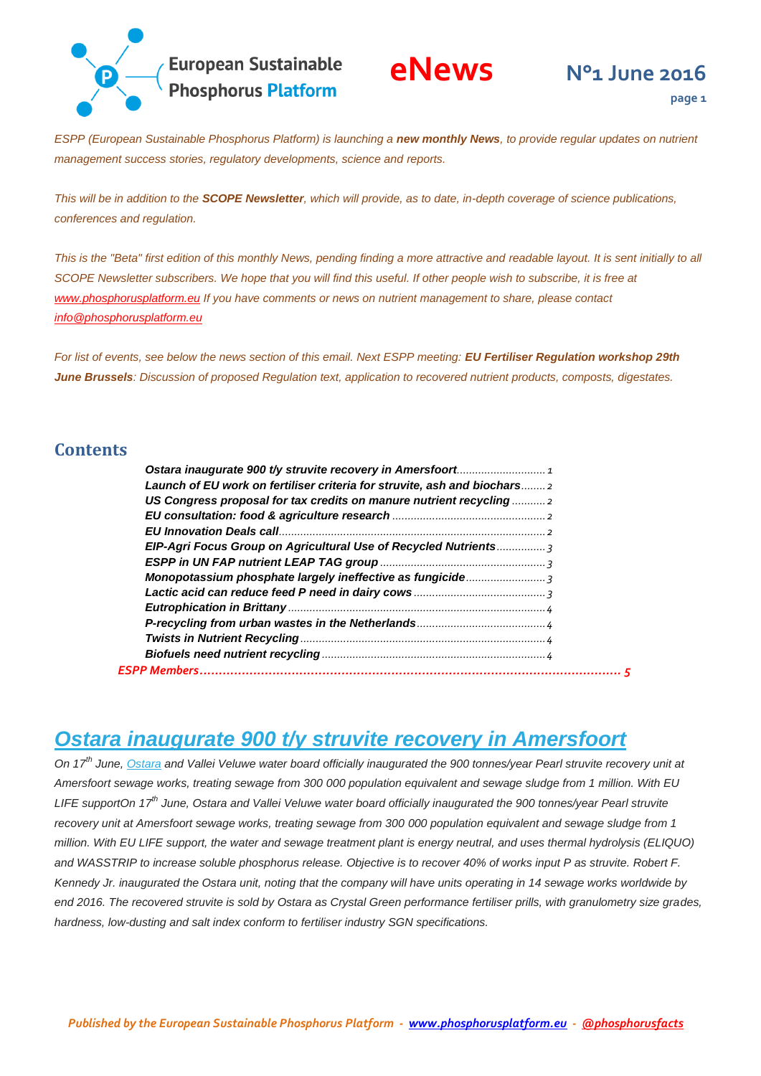

*ESPP (European Sustainable Phosphorus Platform) is launching a new monthly News, to provide regular updates on nutrient management success stories, regulatory developments, science and reports.*

*This will be in addition to the SCOPE Newsletter, which will provide, as to date, in-depth coverage of science publications, conferences and regulation.*

This is the "Beta" first edition of this monthly News, pending finding a more attractive and *readable layout. It is sent initially to all SCOPE Newsletter subscribers. We hope that you will find this useful. If other people wish to subscribe, it is free at [www.phosphorusplatform.eu](http://www.phosphorusplatform.eu/) If you have comments or news on nutrient management to share, please contact [info@phosphorusplatform.eu](mailto:info@phosphorusplatform.eu)*

*For list of events, see below the news section of this email. Next ESPP meeting: EU Fertiliser Regulation workshop 29th June Brussels: Discussion of proposed Regulation text, application to recovered nutrient products, composts, digestates.* 

#### **Contents**

| Launch of EU work on fertiliser criteria for struvite, ash and biochars 2 |  |
|---------------------------------------------------------------------------|--|
| US Congress proposal for tax credits on manure nutrient recycling         |  |
|                                                                           |  |
|                                                                           |  |
| EIP-Agri Focus Group on Agricultural Use of Recycled Nutrients 3          |  |
|                                                                           |  |
|                                                                           |  |
|                                                                           |  |
|                                                                           |  |
|                                                                           |  |
|                                                                           |  |
|                                                                           |  |
|                                                                           |  |
|                                                                           |  |

#### <span id="page-0-0"></span>*Ostara inaugurate 900 t/y struvite recovery in Amersfoort*

*On 17th June, [Ostara](http://ostara.com/nutrient-management-solutions/) and Vallei Veluwe water board officially inaugurated the 900 tonnes/year Pearl struvite recovery unit at Amersfoort sewage works, treating sewage from 300 000 population equivalent and sewage sludge from 1 million. With EU LIFE supportOn 17th June, Ostara and Vallei Veluwe water board officially inaugurated the 900 tonnes/year Pearl struvite recovery unit at Amersfoort sewage works, treating sewage from 300 000 population equivalent and sewage sludge from 1 million. With EU LIFE support, the water and sewage treatment plant is energy neutral, and uses thermal hydrolysis (ELIQUO) and WASSTRIP to increase soluble phosphorus release. Objective is to recover 40% of works input P as struvite. Robert F. Kennedy Jr. inaugurated the Ostara unit, noting that the company will have units operating in 14 sewage works worldwide by*  end 2016. The recovered struvite is sold by Ostara as Crystal Green performance fertiliser prills, with granulometry size grades, *hardness, low-dusting and salt index conform to fertiliser industry SGN specifications.*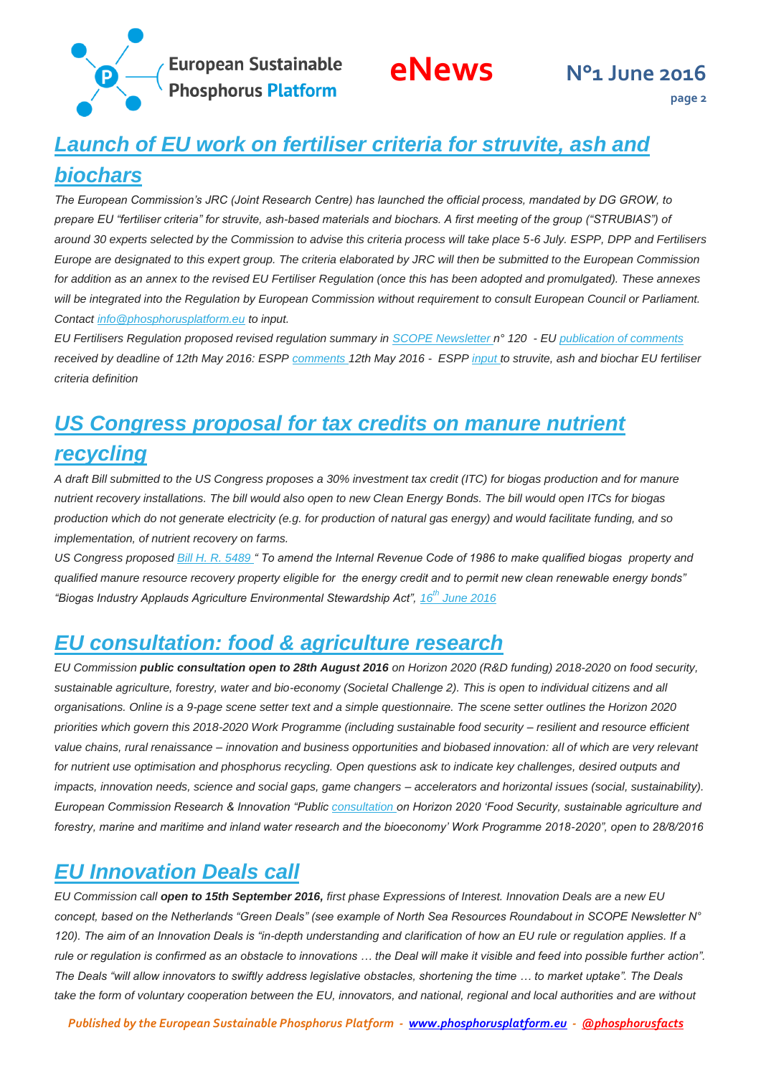**European Sustainable<br>Phosphorus Platform** 

**page 2**

# <span id="page-1-0"></span>*Launch of EU work on fertiliser criteria for struvite, ash and biochars*

*The European Commission's JRC (Joint Research Centre) has launched the official process, mandated by DG GROW, to prepare EU "fertiliser criteria" for struvite, ash-based materials and biochars. A first meeting of the group ("STRUBIAS") of around 30 experts selected by the Commission to advise this criteria process will take place 5-6 July. ESPP, DPP and Fertilisers Europe are designated to this expert group. The criteria elaborated by JRC will then be submitted to the European Commission for addition as an annex to the revised EU Fertiliser Regulation (once this has been adopted and promulgated). These annexes will be integrated into the Regulation by European Commission without requirement to consult European Council or Parliament. Contact [info@phosphorusplatform.eu](mailto:info@phosphorusplatform.eu) to input.*

*EU Fertilisers Regulation proposed revised regulation summary in [SCOPE Newsletter n](http://www.phosphorusplatform.eu/)° 120 - EU [publication of comments](http://ec.europa.eu/transparency/regdoc/?fuseaction=feedbackreport&doc_id=3092157)  received by deadline of 12th May 2016: ESP[P comments 1](http://www.phosphorusplatform.eu/regulatory)2th May 2016 - ESPP [input t](http://www.phosphorusplatform.eu/regulatory)o struvite, ash and biochar EU fertiliser criteria definition* 

## <span id="page-1-1"></span>*US Congress proposal for tax credits on manure nutrient recycling*

*A draft Bill submitted to the US Congress proposes a 30% investment tax credit (ITC) for biogas production and for manure nutrient recovery installations. The bill would also open to new Clean Energy Bonds. The bill would open ITCs for biogas production which do not generate electricity (e.g. for production of natural gas energy) and would facilitate funding, and so implementation, of nutrient recovery on farms.*

*US Congress propose[d Bill H. R. 5489 "](https://www.congress.gov/bill/114th-congress/house-bill/5489/text/ih?overview=closed&format=xml) To amend the Internal Revenue Code of 1986 to make qualified biogas property and qualified manure resource recovery property eligible for the energy credit and to permit new clean renewable energy bonds" "Biogas Industry Applauds Agriculture Environmental Stewardship Act", 16th [June 2016](http://www.americanbiogascouncil.org/pdf/HR5489release.pdf)* 

### <span id="page-1-2"></span>*EU consultation: food & agriculture research*

*EU Commission public consultation open to 28th August 2016 on Horizon 2020 (R&D funding) 2018-2020 on food security, sustainable agriculture, forestry, water and bio-economy (Societal Challenge 2). This is open to individual citizens and all organisations. Online is a 9-page scene setter text and a simple questionnaire. The scene setter outlines the Horizon 2020 priorities which govern this 2018-2020 Work Programme (including sustainable food security – resilient and resource efficient value chains, rural renaissance – innovation and business opportunities and biobased innovation: all of which are very relevant for nutrient use optimisation and phosphorus recycling. Open questions ask to indicate key challenges, desired outputs and impacts, innovation needs, science and social gaps, game changers – accelerators and horizontal issues (social, sustainability). European Commission Research & Innovation "Publi[c consultation o](http://ec.europa.eu/research/consultations/sc2-wp2018-2020/consultation_en.htm)n Horizon 2020 'Food Security, sustainable agriculture and forestry, marine and maritime and inland water research and the bioeconomy' Work Programme 2018-2020", open to 28/8/2016* 

### <span id="page-1-3"></span>*EU Innovation Deals call*

*EU Commission call open to 15th September 2016, first phase Expressions of Interest. Innovation Deals are a new EU concept, based on the Netherlands "Green Deals" (see example of North Sea Resources Roundabout in SCOPE Newsletter N° 120). The aim of an Innovation Deals is "in-depth understanding and clarification of how an EU rule or regulation applies. If a rule or regulation is confirmed as an obstacle to innovations … the Deal will make it visible and feed into possible further action". The Deals "will allow innovators to swiftly address legislative obstacles, shortening the time … to market uptake". The Deals take the form of voluntary cooperation between the EU, innovators, and national, regional and local authorities and are without*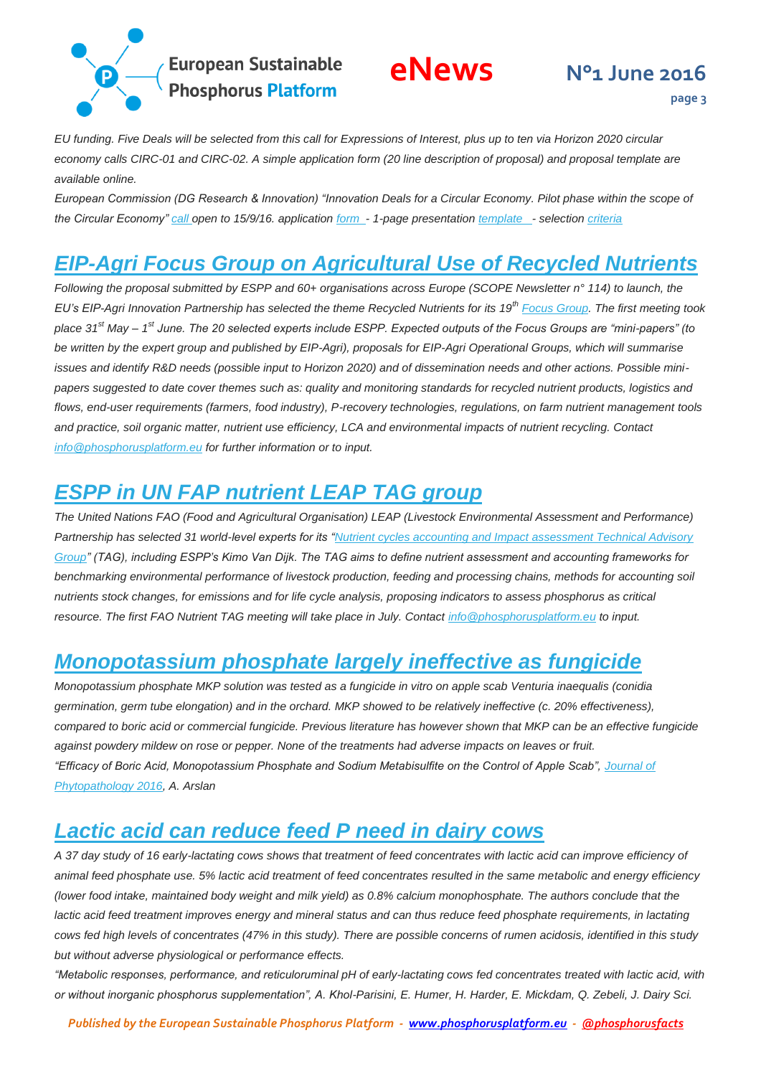

**page 3**

*EU funding. Five Deals will be selected from this call for Expressions of Interest, plus up to ten via Horizon 2020 circular economy calls CIRC-01 and CIRC-02. A simple application form (20 line description of proposal) and proposal template are available online.*

*European Commission (DG Research & Innovation) "Innovation Deals for a Circular Economy. Pilot phase within the scope of the Circular Economy" [call o](https://ec.europa.eu/research/innovation-deals/index.cfm)pen to 15/9/16. application [form](https://ec.europa.eu/eusurvey/runner/EU-InnovationDeals) [-](https://ec.europa.eu/eusurvey/runner/EU-InnovationDeals) 1-page presentation [template -](https://ec.europa.eu/eusurvey/files/f5608787-cec2-4f8a-918b-3cc7b3d18d86) selectio[n criteria](https://ec.europa.eu/eusurvey/files/f5608787-cec2-4f8a-918b-3cc7b3d18d86)* 

#### <span id="page-2-0"></span>*EIP-Agri Focus Group on Agricultural Use of Recycled Nutrients*

*Following the proposal submitted by ESPP and 60+ organisations across Europe (SCOPE Newsletter n° 114) to launch, the EU's EIP-Agri Innovation Partnership has selected the theme Recycled Nutrients for its 19th [Focus Group.](https://ec.europa.eu/eip/agriculture/en/content/focus-groups) The first meeting took place 31st May – 1 st June. The 20 selected experts include ESPP. Expected outputs of the Focus Groups are "mini-papers" (to be written by the expert group and published by EIP-Agri), proposals for EIP-Agri Operational Groups, which will summarise issues and identify R&D needs (possible input to Horizon 2020) and of dissemination needs and other actions. Possible minipapers suggested to date cover themes such as: quality and monitoring standards for recycled nutrient products, logistics and flows, end-user requirements (farmers, food industry), P-recovery technologies, regulations, on farm nutrient management tools and practice, soil organic matter, nutrient use efficiency, LCA and environmental impacts of nutrient recycling. Contact [info@phosphorusplatform.eu](mailto:info@phosphorusplatform.eu) for further information or to input.*

### <span id="page-2-1"></span>*ESPP in UN FAP nutrient LEAP TAG group*

*The United Nations FAO (Food and Agricultural Organisation) LEAP (Livestock Environmental Assessment and Performance) Partnership has selected 31 world-level experts for its ["Nutrient cycles accounting and Impact assessment Technical Advisory](http://www.fao.org/ag/againfo/home/en/news_archive/2016_LEAP_call_technical_cooperation.html)  [Group"](http://www.fao.org/ag/againfo/home/en/news_archive/2016_LEAP_call_technical_cooperation.html) (TAG), including ESPP's Kimo Van Dijk. The TAG aims to define nutrient assessment and accounting frameworks for benchmarking environmental performance of livestock production, feeding and processing chains, methods for accounting soil nutrients stock changes, for emissions and for life cycle analysis, proposing indicators to assess phosphorus as critical resource. The first FAO Nutrient TAG meeting will take place in July. Contac[t info@phosphorusplatform.eu](mailto:info@phosphorusplatform.eu) to input.*

### <span id="page-2-2"></span>*Monopotassium phosphate largely ineffective as fungicide*

*Monopotassium phosphate MKP solution was tested as a fungicide in vitro on apple scab Venturia inaequalis (conidia germination, germ tube elongation) and in the orchard. MKP showed to be relatively ineffective (c. 20% effectiveness), compared to boric acid or commercial fungicide. Previous literature has however shown that MKP can be an effective fungicide against powdery mildew on rose or pepper. None of the treatments had adverse impacts on leaves or fruit. "Efficacy of Boric Acid, Monopotassium Phosphate and Sodium Metabisulfite on the Control of Apple Scab", [Journal of](http://dx.doi.org/10.1111/jph.12491)  [Phytopathology 2016,](http://dx.doi.org/10.1111/jph.12491) A. Arslan* 

### <span id="page-2-3"></span>*Lactic acid can reduce feed P need in dairy cows*

*A 37 day study of 16 early-lactating cows shows that treatment of feed concentrates with lactic acid can improve efficiency of animal feed phosphate use. 5% lactic acid treatment of feed concentrates resulted in the same metabolic and energy efficiency (lower food intake, maintained body weight and milk yield) as 0.8% calcium monophosphate. The authors conclude that the lactic acid feed treatment improves energy and mineral status and can thus reduce feed phosphate requirements, in lactating cows fed high levels of concentrates (47% in this study). There are possible concerns of rumen acidosis, identified in this study but without adverse physiological or performance effects.*

*"Metabolic responses, performance, and reticuloruminal pH of early-lactating cows fed concentrates treated with lactic acid, with or without inorganic phosphorus supplementation", A. Khol-Parisini, E. Humer, H. Harder, E. Mickdam, Q. Zebeli, J. Dairy Sci.*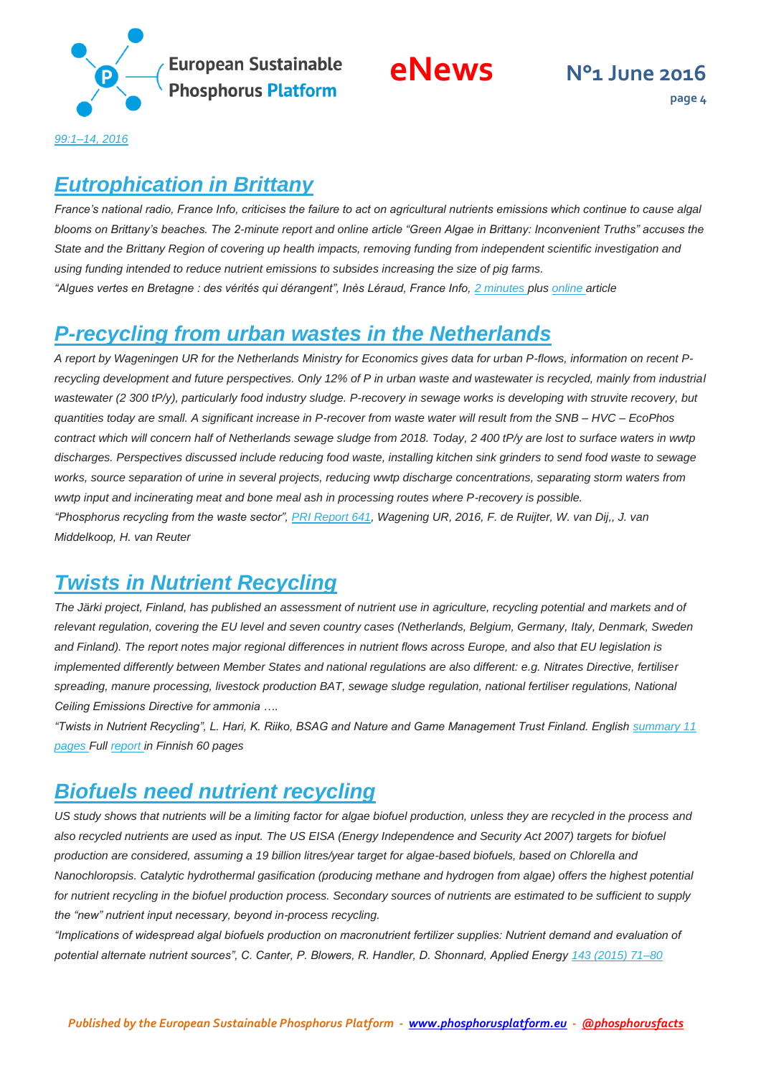

**page 4**

*[99:1–14, 2016](http://dx.doi.org/10.3168/jds.2016-11208)* 

#### <span id="page-3-0"></span>*Eutrophication in Brittany*

*France's national radio, France Info, criticises the failure to act on agricultural nutrients emissions which continue to cause algal blooms on Brittany's beaches. The 2-minute report and online article "Green Algae in Brittany: Inconvenient Truths" accuses the State and the Brittany Region of covering up health impacts, removing funding from independent scientific investigation and using funding intended to reduce nutrient emissions to subsides increasing the size of pig farms. "Algues vertes en Bretagne : des vérités qui dérangent", Inès Léraud, France Info, [2 minutes p](http://www.franceinfo.fr/actu/societe/article/algues-vertes-en-bretagne-des-verites-qui-derangent-796737)lu[s online a](http://www.franceinfo.fr/actu/societe/article/algues-vertes-en-bretagne-des-verites-qui-derangent-796737)rticle*

### <span id="page-3-1"></span>*P-recycling from urban wastes in the Netherlands*

*A report by Wageningen UR for the Netherlands Ministry for Economics gives data for urban P-flows, information on recent Precycling development and future perspectives. Only 12% of P in urban waste and wastewater is recycled, mainly from industrial wastewater (2 300 tP/y), particularly food industry sludge. P-recovery in sewage works is developing with struvite recovery, but quantities today are small. A significant increase in P-recover from waste water will result from the SNB – HVC – EcoPhos contract which will concern half of Netherlands sewage sludge from 2018. Today, 2 400 tP/y are lost to surface waters in wwtp discharges. Perspectives discussed include reducing food waste, installing kitchen sink grinders to send food waste to sewage works, source separation of urine in several projects, reducing wwtp discharge concentrations, separating storm waters from wwtp input and incinerating meat and bone meal ash in processing routes where P-recovery is possible. "Phosphorus recycling from the waste sector", [PRI Report 641,](http://library.wur.nl/WebQuery/wurpubs/499032) Wagening UR, 2016, F. de Ruijter, W. van Dij,, J. van Middelkoop, H. van Reuter* 

### <span id="page-3-2"></span>*Twists in Nutrient Recycling*

*The Järki project, Finland, has published an assessment of nutrient use in agriculture, recycling potential and markets and of relevant regulation, covering the EU level and seven country cases (Netherlands, Belgium, Germany, Italy, Denmark, Sweden and Finland). The report notes major regional differences in nutrient flows across Europe, and also that EU legislation is implemented differently between Member States and national regulations are also different: e.g. Nitrates Directive, fertiliser spreading, manure processing, livestock production BAT, sewage sludge regulation, national fertiliser regulations, National Ceiling Emissions Directive for ammonia ….*

*"Twists in Nutrient Recycling", L. Hari, K. Riiko, BSAG and Nature and Game Management Trust Finland. English [summary 11](http://www.jarki.fi/sites/default/files/dokumentit/bsag-report_twists_in_nutrient_recycling_in_the_eu_summary.pdf)  [pages F](http://www.jarki.fi/sites/default/files/dokumentit/bsag-report_twists_in_nutrient_recycling_in_the_eu_summary.pdf)ul[l report in](http://jarki.fi/sites/default/files/dokumentit/ravinnekierratyksen_eurokiemuroita-raportti_web.pdf) Finnish 60 pages* 

## <span id="page-3-3"></span>*Biofuels need nutrient recycling*

*US study shows that nutrients will be a limiting factor for algae biofuel production, unless they are recycled in the process and also recycled nutrients are used as input. The US EISA (Energy Independence and Security Act 2007) targets for biofuel production are considered, assuming a 19 billion litres/year target for algae-based biofuels, based on Chlorella and Nanochloropsis. Catalytic hydrothermal gasification (producing methane and hydrogen from algae) offers the highest potential for nutrient recycling in the biofuel production process. Secondary sources of nutrients are estimated to be sufficient to supply the "new" nutrient input necessary, beyond in-process recycling.*

*"Implications of widespread algal biofuels production on macronutrient fertilizer supplies: Nutrient demand and evaluation of potential alternate nutrient sources", C. Canter, P. Blowers, R. Handler, D. Shonnard, Applied Energy [143 \(2015\) 71–80](http://dx.doi.org/10.1016/j.apenergy.2014.12.065)*